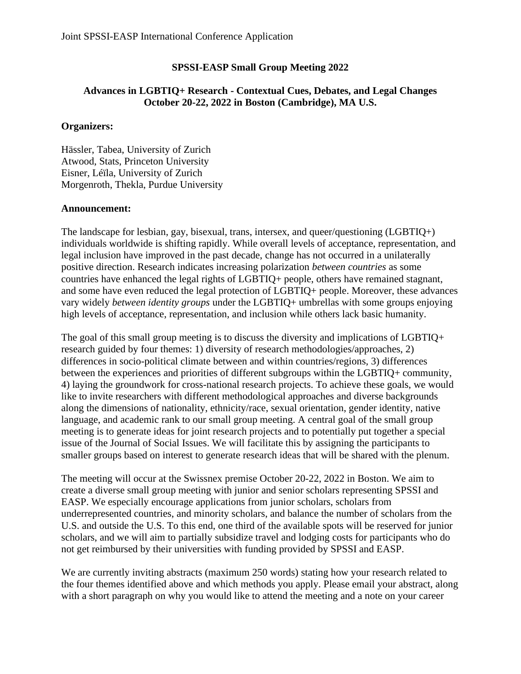## **SPSSI-EASP Small Group Meeting 2022**

## **Advances in LGBTIQ+ Research - Contextual Cues, Debates, and Legal Changes October 20-22, 2022 in Boston (Cambridge), MA U.S.**

## **Organizers:**

Hässler, Tabea, University of Zurich Atwood, Stats, Princeton University Eisner, Léïla, University of Zurich Morgenroth, Thekla, Purdue University

## **Announcement:**

The landscape for lesbian, gay, bisexual, trans, intersex, and queer/questioning (LGBTIQ+) individuals worldwide is shifting rapidly. While overall levels of acceptance, representation, and legal inclusion have improved in the past decade, change has not occurred in a unilaterally positive direction. Research indicates increasing polarization *between countries* as some countries have enhanced the legal rights of LGBTIQ+ people, others have remained stagnant, and some have even reduced the legal protection of LGBTIQ+ people. Moreover, these advances vary widely *between identity groups* under the LGBTIQ+ umbrellas with some groups enjoying high levels of acceptance, representation, and inclusion while others lack basic humanity.

The goal of this small group meeting is to discuss the diversity and implications of LGBTIQ+ research guided by four themes: 1) diversity of research methodologies/approaches, 2) differences in socio-political climate between and within countries/regions, 3) differences between the experiences and priorities of different subgroups within the LGBTIQ+ community, 4) laying the groundwork for cross-national research projects. To achieve these goals, we would like to invite researchers with different methodological approaches and diverse backgrounds along the dimensions of nationality, ethnicity/race, sexual orientation, gender identity, native language, and academic rank to our small group meeting. A central goal of the small group meeting is to generate ideas for joint research projects and to potentially put together a special issue of the Journal of Social Issues. We will facilitate this by assigning the participants to smaller groups based on interest to generate research ideas that will be shared with the plenum.

The meeting will occur at the Swissnex premise October 20-22, 2022 in Boston. We aim to create a diverse small group meeting with junior and senior scholars representing SPSSI and EASP. We especially encourage applications from junior scholars, scholars from underrepresented countries, and minority scholars, and balance the number of scholars from the U.S. and outside the U.S. To this end, one third of the available spots will be reserved for junior scholars, and we will aim to partially subsidize travel and lodging costs for participants who do not get reimbursed by their universities with funding provided by SPSSI and EASP.

We are currently inviting abstracts (maximum 250 words) stating how your research related to the four themes identified above and which methods you apply. Please email your abstract, along with a short paragraph on why you would like to attend the meeting and a note on your career